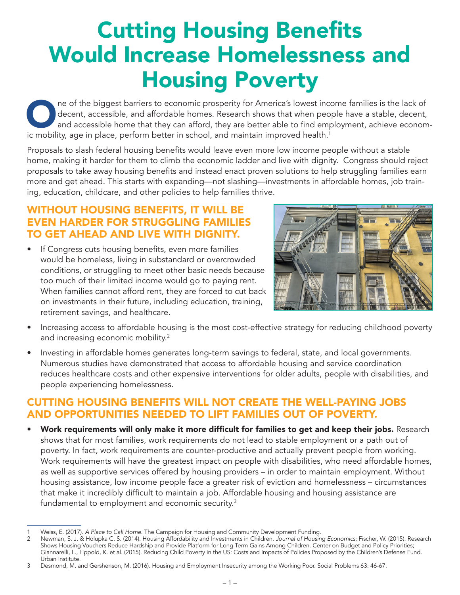## Cutting Housing Benefits Would Increase Homelessness and Housing Poverty

One of the biggest barriers to economic prosperity for America's lowest income families is the lack of decent, accessible, and affordable homes. Research shows that when people have a stable, decent, and accessible home th decent, accessible, and affordable homes. Research shows that when people have a stable, decent, and accessible home that they can afford, they are better able to find employment, achieve economic mobility, age in place, perform better in school, and maintain improved health.<sup>1</sup>

Proposals to slash federal housing benefits would leave even more low income people without a stable home, making it harder for them to climb the economic ladder and live with dignity. Congress should reject proposals to take away housing benefits and instead enact proven solutions to help struggling families earn more and get ahead. This starts with expanding—not slashing—investments in affordable homes, job training, education, childcare, and other policies to help families thrive.

## WITHOUT HOUSING BENEFITS, IT WILL BE EVEN HARDER FOR STRUGGLING FAMILIES TO GET AHEAD AND LIVE WITH DIGNITY.

If Congress cuts housing benefits, even more families would be homeless, living in substandard or overcrowded conditions, or struggling to meet other basic needs because too much of their limited income would go to paying rent. When families cannot afford rent, they are forced to cut back on investments in their future, including education, training, retirement savings, and healthcare.



- Increasing access to affordable housing is the most cost-effective strategy for reducing childhood poverty and increasing economic mobility.2
- Investing in affordable homes generates long-term savings to federal, state, and local governments. Numerous studies have demonstrated that access to affordable housing and service coordination reduces healthcare costs and other expensive interventions for older adults, people with disabilities, and people experiencing homelessness.

## CUTTING HOUSING BENEFITS WILL NOT CREATE THE WELL-PAYING JOBS AND OPPORTUNITIES NEEDED TO LIFT FAMILIES OUT OF POVERTY.

• Work requirements will only make it more difficult for families to get and keep their jobs. Research shows that for most families, work requirements do not lead to stable employment or a path out of poverty. In fact, work requirements are counter-productive and actually prevent people from working. Work requirements will have the greatest impact on people with disabilities, who need affordable homes, as well as supportive services offered by housing providers – in order to maintain employment. Without housing assistance, low income people face a greater risk of eviction and homelessness – circumstances that make it incredibly difficult to maintain a job. Affordable housing and housing assistance are fundamental to employment and economic security.<sup>3</sup>

<sup>1</sup> Weiss, E. (2017). *A Place to Call Home.* The Campaign for Housing and Community Development Funding.

<sup>2</sup> Newman, S. J. & Holupka C. S. (2014). Housing Affordability and Investments in Children. *Journal of Housing Economics*; Fischer, W. (2015). Research Shows Housing Vouchers Reduce Hardship and Provide Platform for Long Term Gains Among Children. Center on Budget and Policy Priorities; Giannarelli, L., Lippold, K. et al. (2015). Reducing Child Poverty in the US: Costs and Impacts of Policies Proposed by the Children's Defense Fund. Urban Institute.

<sup>3</sup> Desmond, M. and Gershenson, M. (2016). Housing and Employment Insecurity among the Working Poor. Social Problems 63: 46-67.